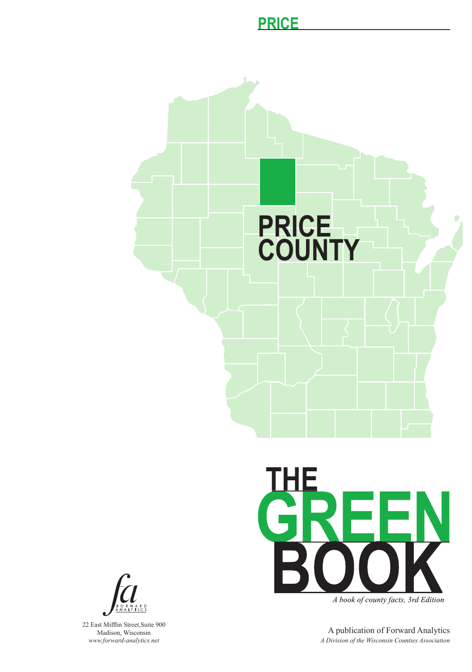## **PRICE**





A book of county facts, 3rd Edition

A publication of Forward Analytics *A Division of the Wisconsin Counties Association*



22 East Mifflin Street,Suite 900 Madison, Wisconsin *www.forward-analytics.net*